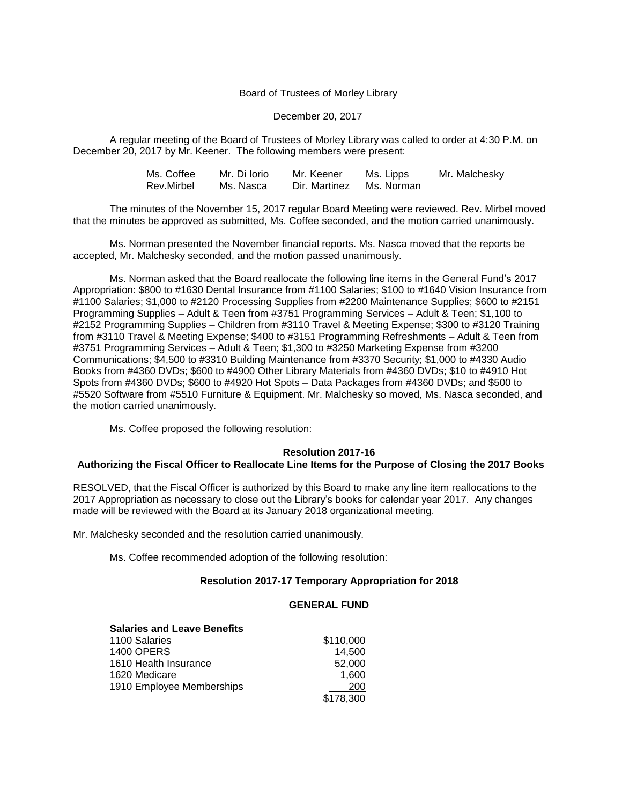### Board of Trustees of Morley Library

#### December 20, 2017

A regular meeting of the Board of Trustees of Morley Library was called to order at 4:30 P.M. on December 20, 2017 by Mr. Keener. The following members were present:

| Ms. Coffee | Mr. Di Iorio | Mr. Keener               | Ms. Lipps | Mr. Malchesky |
|------------|--------------|--------------------------|-----------|---------------|
| Rev.Mirbel | Ms. Nasca    | Dir. Martinez Ms. Norman |           |               |

The minutes of the November 15, 2017 regular Board Meeting were reviewed. Rev. Mirbel moved that the minutes be approved as submitted, Ms. Coffee seconded, and the motion carried unanimously.

Ms. Norman presented the November financial reports. Ms. Nasca moved that the reports be accepted, Mr. Malchesky seconded, and the motion passed unanimously.

Ms. Norman asked that the Board reallocate the following line items in the General Fund's 2017 Appropriation: \$800 to #1630 Dental Insurance from #1100 Salaries; \$100 to #1640 Vision Insurance from #1100 Salaries; \$1,000 to #2120 Processing Supplies from #2200 Maintenance Supplies; \$600 to #2151 Programming Supplies – Adult & Teen from #3751 Programming Services – Adult & Teen; \$1,100 to #2152 Programming Supplies – Children from #3110 Travel & Meeting Expense; \$300 to #3120 Training from #3110 Travel & Meeting Expense; \$400 to #3151 Programming Refreshments – Adult & Teen from #3751 Programming Services – Adult & Teen; \$1,300 to #3250 Marketing Expense from #3200 Communications; \$4,500 to #3310 Building Maintenance from #3370 Security; \$1,000 to #4330 Audio Books from #4360 DVDs; \$600 to #4900 Other Library Materials from #4360 DVDs; \$10 to #4910 Hot Spots from #4360 DVDs; \$600 to #4920 Hot Spots – Data Packages from #4360 DVDs; and \$500 to #5520 Software from #5510 Furniture & Equipment. Mr. Malchesky so moved, Ms. Nasca seconded, and the motion carried unanimously.

Ms. Coffee proposed the following resolution:

### **Resolution 2017-16**

### **Authorizing the Fiscal Officer to Reallocate Line Items for the Purpose of Closing the 2017 Books**

RESOLVED, that the Fiscal Officer is authorized by this Board to make any line item reallocations to the 2017 Appropriation as necessary to close out the Library's books for calendar year 2017. Any changes made will be reviewed with the Board at its January 2018 organizational meeting.

Mr. Malchesky seconded and the resolution carried unanimously.

Ms. Coffee recommended adoption of the following resolution:

## **Resolution 2017-17 Temporary Appropriation for 2018**

### **GENERAL FUND**

#### **Salaries and Leave Benefits**

| 1100 Salaries             | \$110,000 |
|---------------------------|-----------|
| <b>1400 OPERS</b>         | 14.500    |
| 1610 Health Insurance     | 52,000    |
| 1620 Medicare             | 1.600     |
| 1910 Employee Memberships | 200       |
|                           | \$178,300 |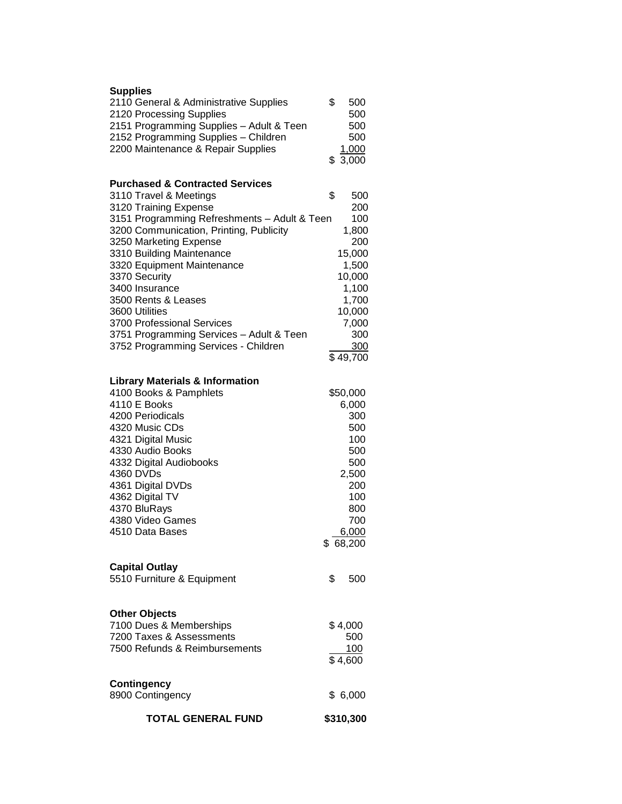| <b>TOTAL GENERAL FUND</b>                                                                                    | \$310,300                               |
|--------------------------------------------------------------------------------------------------------------|-----------------------------------------|
| <b>Contingency</b><br>8900 Contingency                                                                       | \$6,000                                 |
| <b>Other Objects</b><br>7100 Dues & Memberships<br>7200 Taxes & Assessments<br>7500 Refunds & Reimbursements | \$4,000<br>500<br><u>100</u><br>\$4,600 |
| <b>Capital Outlay</b><br>5510 Furniture & Equipment                                                          | \$<br>500                               |
| 4510 Data Bases                                                                                              | 6,000<br>\$ 68,200                      |
| 4370 BluRays<br>4380 Video Games                                                                             | 800<br>700                              |
| 4361 Digital DVDs<br>4362 Digital TV                                                                         | 200<br>100                              |
| 4360 DVDs                                                                                                    | 2,500                                   |
| 4332 Digital Audiobooks                                                                                      | 500                                     |
| 4330 Audio Books                                                                                             | 500                                     |
| 4321 Digital Music                                                                                           | 100                                     |
| 4200 Periodicals<br>4320 Music CDs                                                                           | 300<br>500                              |
| 4110 E Books                                                                                                 | 6,000                                   |
| 4100 Books & Pamphlets                                                                                       | \$50,000                                |
| <b>Library Materials &amp; Information</b>                                                                   |                                         |
|                                                                                                              | \$49,700                                |
| 3752 Programming Services - Children                                                                         | 300                                     |
| 3751 Programming Services - Adult & Teen                                                                     | 300                                     |
| 3700 Professional Services                                                                                   | 7,000                                   |
| 3600 Utilities                                                                                               | 10,000                                  |
| 3500 Rents & Leases                                                                                          | 1,700                                   |
| 3370 Security<br>3400 Insurance                                                                              | 10,000<br>1,100                         |
| 3320 Equipment Maintenance                                                                                   | 1,500                                   |
| 3310 Building Maintenance                                                                                    | 15,000                                  |
| 3250 Marketing Expense                                                                                       | 200                                     |
| 3151 Programming Refreshments - Adult & Teen<br>3200 Communication, Printing, Publicity                      | 100<br>1,800                            |
| 3120 Training Expense                                                                                        | 200                                     |
| 3110 Travel & Meetings                                                                                       | \$<br>500                               |
| <b>Purchased &amp; Contracted Services</b>                                                                   |                                         |
|                                                                                                              | \$3,000                                 |
| 2200 Maintenance & Repair Supplies                                                                           | 1,000                                   |
| 2151 Programming Supplies - Adult & Teen<br>2152 Programming Supplies - Children                             | 500<br>500                              |
| 2120 Processing Supplies                                                                                     | 500                                     |
| 2110 General & Administrative Supplies                                                                       | \$<br>500                               |
| <b>Supplies</b>                                                                                              |                                         |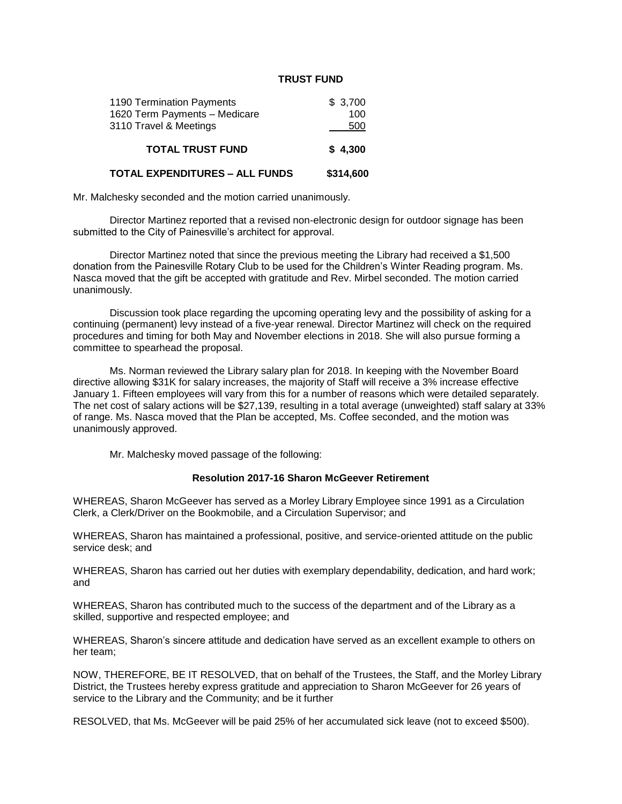## **TRUST FUND**

| 1190 Termination Payments             | \$3,700   |
|---------------------------------------|-----------|
| 1620 Term Payments - Medicare         | 100       |
| 3110 Travel & Meetings                | 500       |
| <b>TOTAL TRUST FUND</b>               | \$4,300   |
| <b>TOTAL EXPENDITURES – ALL FUNDS</b> | \$314,600 |

Mr. Malchesky seconded and the motion carried unanimously.

Director Martinez reported that a revised non-electronic design for outdoor signage has been submitted to the City of Painesville's architect for approval.

Director Martinez noted that since the previous meeting the Library had received a \$1,500 donation from the Painesville Rotary Club to be used for the Children's Winter Reading program. Ms. Nasca moved that the gift be accepted with gratitude and Rev. Mirbel seconded. The motion carried unanimously.

Discussion took place regarding the upcoming operating levy and the possibility of asking for a continuing (permanent) levy instead of a five-year renewal. Director Martinez will check on the required procedures and timing for both May and November elections in 2018. She will also pursue forming a committee to spearhead the proposal.

Ms. Norman reviewed the Library salary plan for 2018. In keeping with the November Board directive allowing \$31K for salary increases, the majority of Staff will receive a 3% increase effective January 1. Fifteen employees will vary from this for a number of reasons which were detailed separately. The net cost of salary actions will be \$27,139, resulting in a total average (unweighted) staff salary at 33% of range. Ms. Nasca moved that the Plan be accepted, Ms. Coffee seconded, and the motion was unanimously approved.

Mr. Malchesky moved passage of the following:

### **Resolution 2017-16 Sharon McGeever Retirement**

WHEREAS, Sharon McGeever has served as a Morley Library Employee since 1991 as a Circulation Clerk, a Clerk/Driver on the Bookmobile, and a Circulation Supervisor; and

WHEREAS, Sharon has maintained a professional, positive, and service-oriented attitude on the public service desk; and

WHEREAS, Sharon has carried out her duties with exemplary dependability, dedication, and hard work; and

WHEREAS, Sharon has contributed much to the success of the department and of the Library as a skilled, supportive and respected employee; and

WHEREAS, Sharon's sincere attitude and dedication have served as an excellent example to others on her team;

NOW, THEREFORE, BE IT RESOLVED, that on behalf of the Trustees, the Staff, and the Morley Library District, the Trustees hereby express gratitude and appreciation to Sharon McGeever for 26 years of service to the Library and the Community; and be it further

RESOLVED, that Ms. McGeever will be paid 25% of her accumulated sick leave (not to exceed \$500).